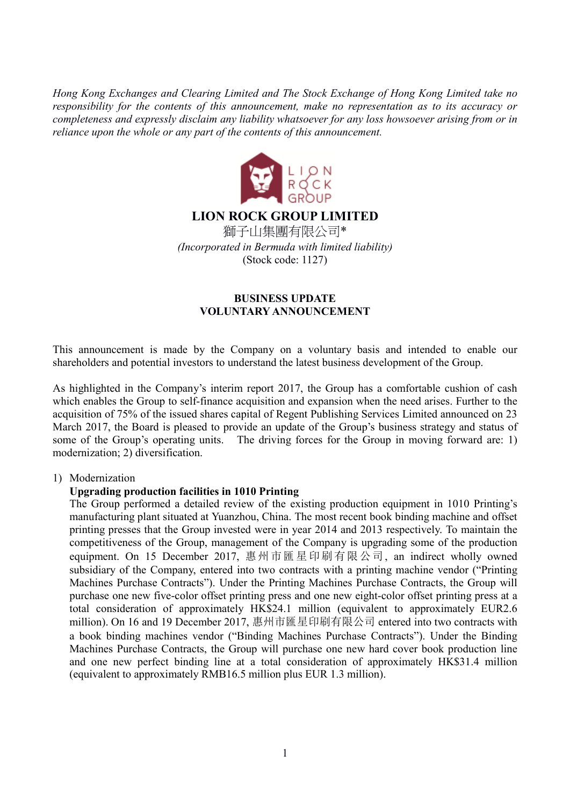*Hong Kong Exchanges and Clearing Limited and The Stock Exchange of Hong Kong Limited take no responsibility for the contents of this announcement, make no representation as to its accuracy or completeness and expressly disclaim any liability whatsoever for any loss howsoever arising from or in reliance upon the whole or any part of the contents of this announcement.* 



# **LION ROCK GROUP LIMITED**

獅子山集團有限公司\* *(Incorporated in Bermuda with limited liability)*  (Stock code: 1127)

## **BUSINESS UPDATE VOLUNTARY ANNOUNCEMENT**

This announcement is made by the Company on a voluntary basis and intended to enable our shareholders and potential investors to understand the latest business development of the Group.

As highlighted in the Company's interim report 2017, the Group has a comfortable cushion of cash which enables the Group to self-finance acquisition and expansion when the need arises. Further to the acquisition of 75% of the issued shares capital of Regent Publishing Services Limited announced on 23 March 2017, the Board is pleased to provide an update of the Group's business strategy and status of some of the Group's operating units. The driving forces for the Group in moving forward are: 1) modernization; 2) diversification.

### 1) Modernization

### **Upgrading production facilities in 1010 Printing**

The Group performed a detailed review of the existing production equipment in 1010 Printing's manufacturing plant situated at Yuanzhou, China. The most recent book binding machine and offset printing presses that the Group invested were in year 2014 and 2013 respectively. To maintain the competitiveness of the Group, management of the Company is upgrading some of the production equipment. On 15 December 2017, 惠州市匯星印刷有限公司, an indirect wholly owned subsidiary of the Company, entered into two contracts with a printing machine vendor ("Printing Machines Purchase Contracts"). Under the Printing Machines Purchase Contracts, the Group will purchase one new five-color offset printing press and one new eight-color offset printing press at a total consideration of approximately HK\$24.1 million (equivalent to approximately EUR2.6 million). On 16 and 19 December 2017, 惠州市匯星印刷有限公司 entered into two contracts with a book binding machines vendor ("Binding Machines Purchase Contracts"). Under the Binding Machines Purchase Contracts, the Group will purchase one new hard cover book production line and one new perfect binding line at a total consideration of approximately HK\$31.4 million (equivalent to approximately RMB16.5 million plus EUR 1.3 million).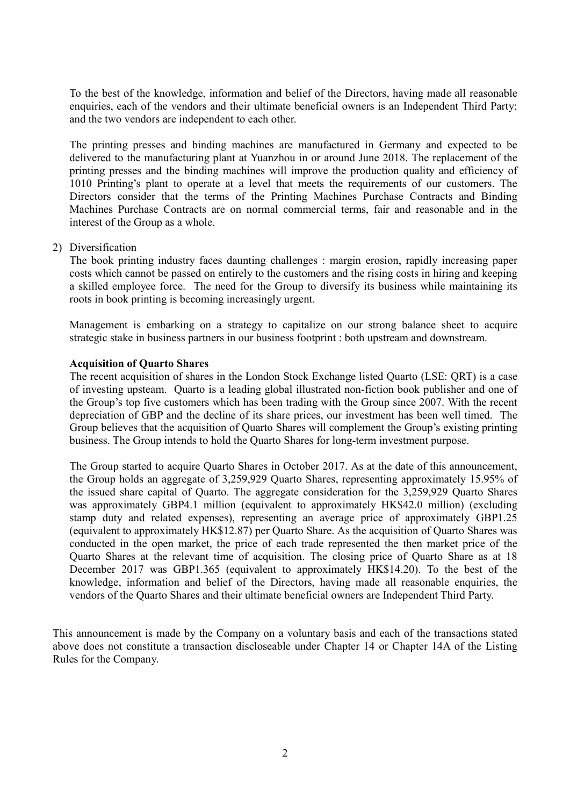To the best of the knowledge, information and belief of the Directors, having made all reasonable enquiries, each of the vendors and their ultimate beneficial owners is an Independent Third Party; and the two vendors are independent to each other.

The printing presses and binding machines are manufactured in Germany and expected to be delivered to the manufacturing plant at Yuanzhou in or around June 2018. The replacement of the printing presses and the binding machines will improve the production quality and efficiency of 1010 Printing's plant to operate at a level that meets the requirements of our customers. The Directors consider that the terms of the Printing Machines Purchase Contracts and Binding Machines Purchase Contracts are on normal commercial terms, fair and reasonable and in the interest of the Group as a whole.

#### 2) Diversification

The book printing industry faces daunting challenges : margin erosion, rapidly increasing paper costs which cannot be passed on entirely to the customers and the rising costs in hiring and keeping a skilled employee force. The need for the Group to diversify its business while maintaining its roots in book printing is becoming increasingly urgent.

Management is embarking on a strategy to capitalize on our strong balance sheet to acquire strategic stake in business partners in our business footprint : both upstream and downstream.

#### **Acquisition of Quarto Shares**

The recent acquisition of shares in the London Stock Exchange listed Quarto (LSE: QRT) is a case of investing upsteam. Quarto is a leading global illustrated non-fiction book publisher and one of the Group's top five customers which has been trading with the Group since 2007. With the recent depreciation of GBP and the decline of its share prices, our investment has been well timed. The Group believes that the acquisition of Quarto Shares will complement the Group's existing printing business. The Group intends to hold the Quarto Shares for long-term investment purpose.

The Group started to acquire Quarto Shares in October 2017. As at the date of this announcement, the Group holds an aggregate of 3,259,929 Quarto Shares, representing approximately 15.95% of the issued share capital of Quarto. The aggregate consideration for the 3,259,929 Quarto Shares was approximately GBP4.1 million (equivalent to approximately HK\$42.0 million) (excluding stamp duty and related expenses), representing an average price of approximately GBP1.25 (equivalent to approximately HK\$12.87) per Quarto Share. As the acquisition of Quarto Shares was conducted in the open market, the price of each trade represented the then market price of the Quarto Shares at the relevant time of acquisition. The closing price of Quarto Share as at 18 December 2017 was GBP1.365 (equivalent to approximately HK\$14.20). To the best of the knowledge, information and belief of the Directors, having made all reasonable enquiries, the vendors of the Quarto Shares and their ultimate beneficial owners are Independent Third Party.

This announcement is made by the Company on a voluntary basis and each of the transactions stated above does not constitute a transaction discloseable under Chapter 14 or Chapter 14A of the Listing Rules for the Company.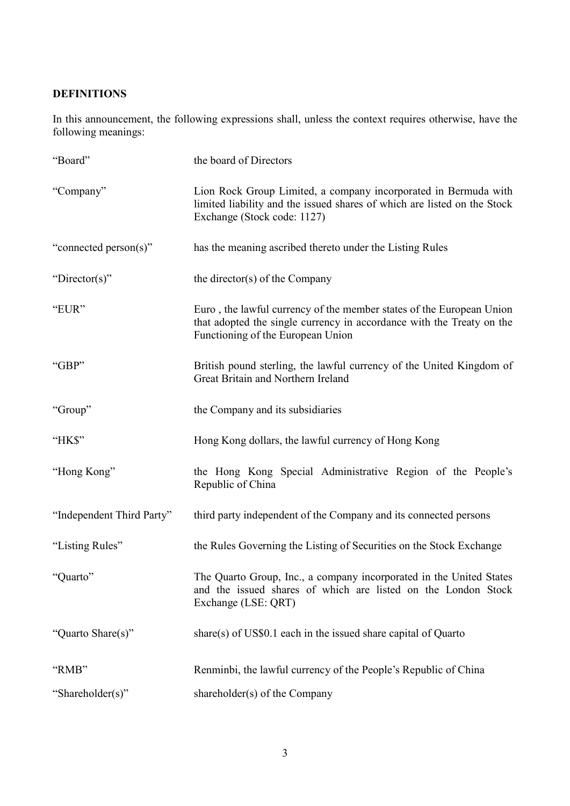# **DEFINITIONS**

In this announcement, the following expressions shall, unless the context requires otherwise, have the following meanings:

| "Board"                   | the board of Directors                                                                                                                                                             |
|---------------------------|------------------------------------------------------------------------------------------------------------------------------------------------------------------------------------|
| "Company"                 | Lion Rock Group Limited, a company incorporated in Bermuda with<br>limited liability and the issued shares of which are listed on the Stock<br>Exchange (Stock code: 1127)         |
| "connected person(s)"     | has the meaning ascribed thereto under the Listing Rules                                                                                                                           |
| "Director(s)"             | the director(s) of the Company                                                                                                                                                     |
| "EUR"                     | Euro, the lawful currency of the member states of the European Union<br>that adopted the single currency in accordance with the Treaty on the<br>Functioning of the European Union |
| "GBP"                     | British pound sterling, the lawful currency of the United Kingdom of<br>Great Britain and Northern Ireland                                                                         |
| "Group"                   | the Company and its subsidiaries                                                                                                                                                   |
| "HK\$"                    | Hong Kong dollars, the lawful currency of Hong Kong                                                                                                                                |
| "Hong Kong"               | the Hong Kong Special Administrative Region of the People's<br>Republic of China                                                                                                   |
| "Independent Third Party" | third party independent of the Company and its connected persons                                                                                                                   |
| "Listing Rules"           | the Rules Governing the Listing of Securities on the Stock Exchange                                                                                                                |
| "Quarto"                  | The Quarto Group, Inc., a company incorporated in the United States<br>and the issued shares of which are listed on the London Stock<br>Exchange (LSE: QRT)                        |
| "Quarto Share(s)"         | share(s) of US\$0.1 each in the issued share capital of Quarto                                                                                                                     |
| "RMB"                     | Renminbi, the lawful currency of the People's Republic of China                                                                                                                    |
| "Shareholder(s)"          | shareholder(s) of the Company                                                                                                                                                      |